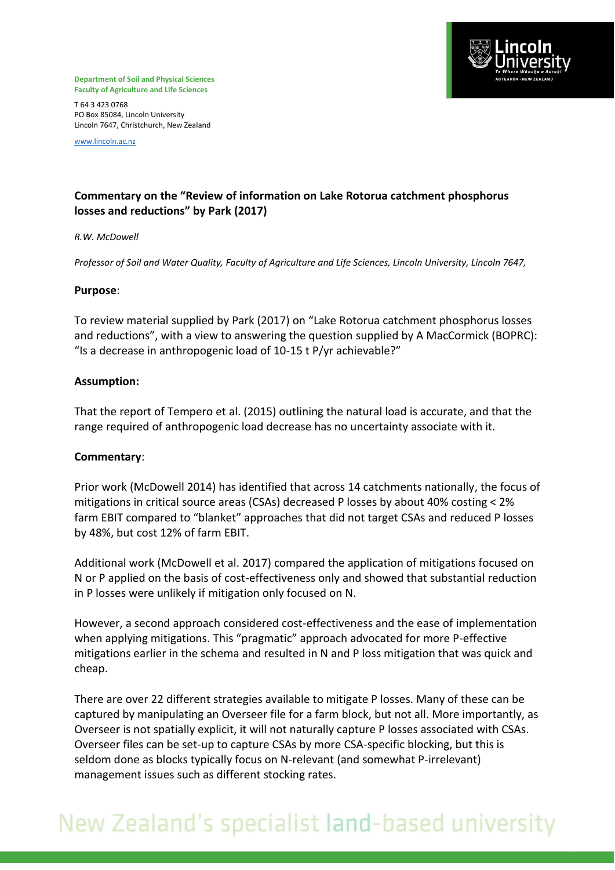

**Department of Soil and Physical Sciences Faculty of Agriculture and Life Sciences**

T 64 3 423 0768 PO Box 85084, Lincoln University Lincoln 7647, Christchurch, New Zealand

[www.lincoln.ac.nz](http://www.lincoln.ac.nz/)

### **Commentary on the "Review of information on Lake Rotorua catchment phosphorus losses and reductions" by Park (2017)**

#### *R.W. McDowell*

*Professor of Soil and Water Quality, Faculty of Agriculture and Life Sciences, Lincoln University, Lincoln 7647,* 

#### **Purpose**:

To review material supplied by Park (2017) on "Lake Rotorua catchment phosphorus losses and reductions", with a view to answering the question supplied by A MacCormick (BOPRC): "Is a decrease in anthropogenic load of 10-15 t P/yr achievable?"

#### **Assumption:**

That the report of Tempero et al. (2015) outlining the natural load is accurate, and that the range required of anthropogenic load decrease has no uncertainty associate with it.

#### **Commentary**:

Prior work [\(McDowell 2014\)](#page-2-0) has identified that across 14 catchments nationally, the focus of mitigations in critical source areas (CSAs) decreased P losses by about 40% costing < 2% farm EBIT compared to "blanket" approaches that did not target CSAs and reduced P losses by 48%, but cost 12% of farm EBIT.

Additional work (McDowell et al. 2017) compared the application of mitigations focused on N or P applied on the basis of cost-effectiveness only and showed that substantial reduction in P losses were unlikely if mitigation only focused on N.

However, a second approach considered cost-effectiveness and the ease of implementation when applying mitigations. This "pragmatic" approach advocated for more P-effective mitigations earlier in the schema and resulted in N and P loss mitigation that was quick and cheap.

There are over 22 different strategies available to mitigate P losses. Many of these can be captured by manipulating an Overseer file for a farm block, but not all. More importantly, as Overseer is not spatially explicit, it will not naturally capture P losses associated with CSAs. Overseer files can be set-up to capture CSAs by more CSA-specific blocking, but this is seldom done as blocks typically focus on N-relevant (and somewhat P-irrelevant) management issues such as different stocking rates.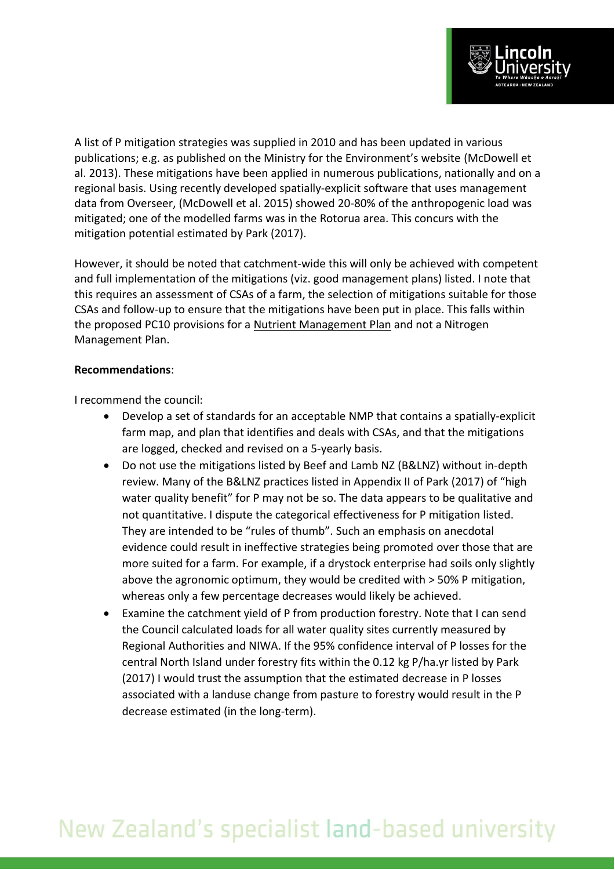

A list of P mitigation strategies was supplied in 2010 and has been updated in various publications; e.g. as published on the Ministry for the Environment's website [\(McDowell et](#page-2-1)  [al. 2013\)](#page-2-1). These mitigations have been applied in numerous publications, nationally and on a regional basis. Using recently developed spatially-explicit software that uses management data from Overseer, [\(McDowell et al. 2015\)](#page-2-2) showed 20-80% of the anthropogenic load was mitigated; one of the modelled farms was in the Rotorua area. This concurs with the mitigation potential estimated by Park (2017).

However, it should be noted that catchment-wide this will only be achieved with competent and full implementation of the mitigations (viz. good management plans) listed. I note that this requires an assessment of CSAs of a farm, the selection of mitigations suitable for those CSAs and follow-up to ensure that the mitigations have been put in place. This falls within the proposed PC10 provisions for a Nutrient Management Plan and not a Nitrogen Management Plan.

#### **Recommendations**:

I recommend the council:

- Develop a set of standards for an acceptable NMP that contains a spatially-explicit farm map, and plan that identifies and deals with CSAs, and that the mitigations are logged, checked and revised on a 5-yearly basis.
- Do not use the mitigations listed by Beef and Lamb NZ (B&LNZ) without in-depth review. Many of the B&LNZ practices listed in Appendix II of Park (2017) of "high water quality benefit" for P may not be so. The data appears to be qualitative and not quantitative. I dispute the categorical effectiveness for P mitigation listed. They are intended to be "rules of thumb". Such an emphasis on anecdotal evidence could result in ineffective strategies being promoted over those that are more suited for a farm. For example, if a drystock enterprise had soils only slightly above the agronomic optimum, they would be credited with > 50% P mitigation, whereas only a few percentage decreases would likely be achieved.
- Examine the catchment yield of P from production forestry. Note that I can send the Council calculated loads for all water quality sites currently measured by Regional Authorities and NIWA. If the 95% confidence interval of P losses for the central North Island under forestry fits within the 0.12 kg P/ha.yr listed by Park (2017) I would trust the assumption that the estimated decrease in P losses associated with a landuse change from pasture to forestry would result in the P decrease estimated (in the long-term).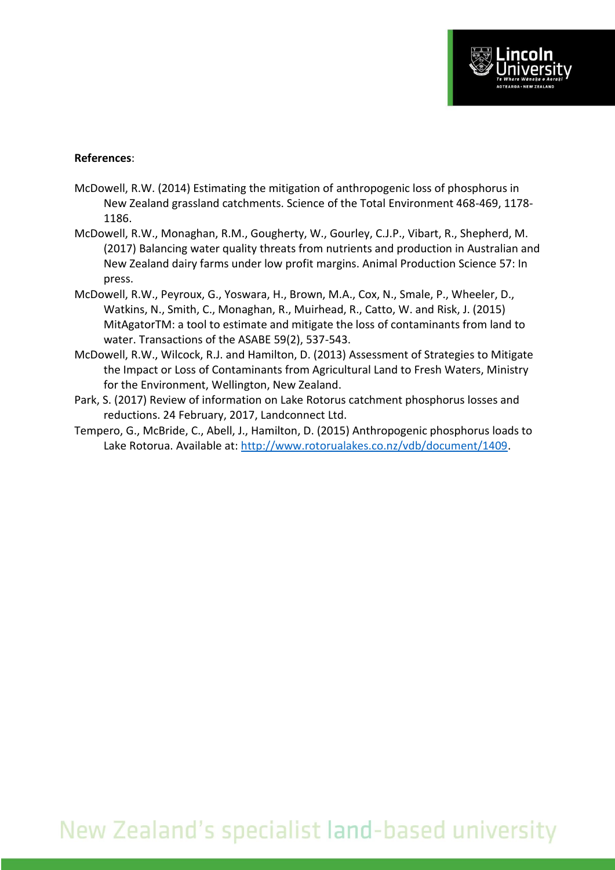#### <span id="page-2-0"></span>**References**:

- McDowell, R.W. (2014) Estimating the mitigation of anthropogenic loss of phosphorus in New Zealand grassland catchments. Science of the Total Environment 468-469, 1178- 1186.
- <span id="page-2-2"></span>McDowell, R.W., Monaghan, R.M., Gougherty, W., Gourley, C.J.P., Vibart, R., Shepherd, M. (2017) Balancing water quality threats from nutrients and production in Australian and New Zealand dairy farms under low profit margins. Animal Production Science 57: In press.
- McDowell, R.W., Peyroux, G., Yoswara, H., Brown, M.A., Cox, N., Smale, P., Wheeler, D., Watkins, N., Smith, C., Monaghan, R., Muirhead, R., Catto, W. and Risk, J. (2015) MitAgatorTM: a tool to estimate and mitigate the loss of contaminants from land to water. Transactions of the ASABE 59(2), 537-543.
- <span id="page-2-1"></span>McDowell, R.W., Wilcock, R.J. and Hamilton, D. (2013) Assessment of Strategies to Mitigate the Impact or Loss of Contaminants from Agricultural Land to Fresh Waters, Ministry for the Environment, Wellington, New Zealand.
- Park, S. (2017) Review of information on Lake Rotorus catchment phosphorus losses and reductions. 24 February, 2017, Landconnect Ltd.
- Tempero, G., McBride, C., Abell, J., Hamilton, D. (2015) Anthropogenic phosphorus loads to Lake Rotorua. Available at: [http://www.rotorualakes.co.nz/vdb/document/1409.](http://www.rotorualakes.co.nz/vdb/document/1409)